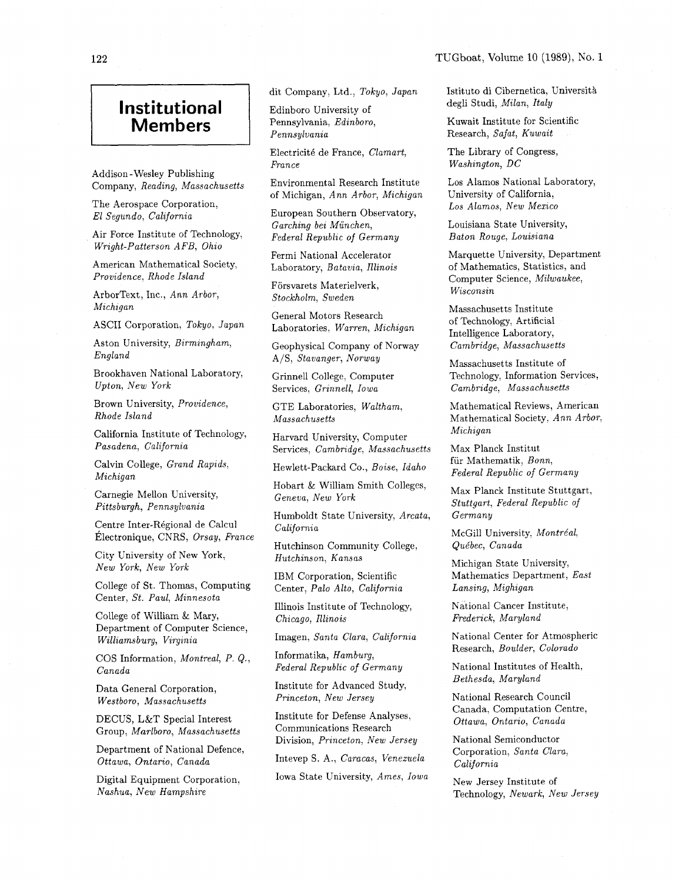## **Institutional**

Addison -Wesley Publishing Company, Reading, Massachusetts

The Aerospace Corporation, El Segundo, California

Air Force Institute of Technology, Wright-Patterson AFB, Ohio

American Mathematical Society: Providence, Rhode Island

ArborText, Inc., Ann Arbor, Michigan

ASCII Corporation, Tokyo, Japan

Aston University, Birmingham, England

Brookhaven National Laboratory, Upton, New York

Brown University, Providence, Rhode Island

California Institute of Technology, Pasadena, California

Calvin College, Grand Rapids, Michigan

Carnegie Mellon University, Pittsburgh, Pennsylvania

Centre Inter-Régional de Calcul California

City University of New York,<br>New York, New York

College of St. Thomas, Computing Center, St. Paul, Minnesota

College of William & Mary, Department of Computer Science, Williarnsburg, Virginia Imagen, Santa Clara, California

COS Information, Montreal, P. Q.,

Data General Corporation,  $Westboro, Massachusetts$ 

DECUS, L&T Special Interest Group, Marlboro, Massachusetts

Department of National Defence, Ottawa, Ontario, Canada Intevep S. A., Caracas, Venezuela

Nashua, **New** Hampshire

Members **I** Pennsylvania, Edinboro, Pennsylvania Edinboro University of

> Electricit6 de France, Clamart, France

Environmental Research Institute of Michigan, Ann Arbor, Michigan

European Southern Observatory, Garching bei Miinchen, Federal Republic of Germany

Fermi National Accelerator Laboratory, Batavia, Illinois

Forsvarets Materielverk, Stockholm, Sweden

General Motors Research Laboratories, Warren, Michigan

Geophysical Company of Norway A/S, Stavanger, Norway

Grinnell College, Computer Services, Grinnell, Iowa

GTE Laboratories, Waltham, Massachusetts

Harvard University, Computer

Services. Cambridoe. Massachusetts

Hewlett-Packard Co., Boise, Idaho

Hobart & William Smith Colleges, Geneva, New York

Humboldt State University, Arcata,

Hutchinson Community College,<br>Hutchinson, Kansas

IBM Corporation, Scientific Center, Palo Alto, California

Illinois Institute of Technology, Chicago, Illinois

Informatika, Hamburg, Federal Republic of Germany

Institute for Advanced Study,<br> *Princeton, New Jersey* National Research Council Princeton, New Jersey

Institute for Defense Analyses, Canada, Computation Ce. Communications Research Division, Princeton, New Jersey

Digital Equipment Corporation, Iowa State University, Ames, Iowa

dit Company, Ltd., Tokyo, Japan Istituto di Cibernetica, Università<br>
degli Studi, Milan, Italy

Kuwait Institute for Scientific Research, Safat, Kuwait

The Library of Congress, Washington, DC

Los Alamos National Laboratory, University of California, Los Alamos, New Mexico

Louisiana State University, Baton Rouge, Louisiana

Marquette University, Department of Mathematics, Statistics, and Computer Science, Milwaukee, Wisconsin

Massachusetts Institute of Technology, Artificial Intelligence Laboratory, Cambridge, Massachusetts

Massachusetts Institute of Technology, Information Services, Cambridge, Massachusetts

Mathematical Reviews, American Mathematical Society, Ann Arbor, Michigan

Max Planck Institut fiir Mathematik, Bonn, Federal Republic of Germany

Max Planck Institute Stuttgart, Stuttgart, Federal Republic of Germany

Exercise Huer Hoggisland de Calenarie California<br>
Electronique, CNRS, Orsay, France Hutchinson Community College, Québec, Canada

Michigan State University, Mathematics Department, East Lansing, Mighigan

National Cancer Institute,<br>Frederick, Maryland

National Center for Atmospheric Research, Boulder, Colorado

Canada National Institutes of Health,  $\sum_{n=1}^{\infty}$  Pederal Republic of Germany National Institutes of Health,

Canada, Computation Centre,

National Semiconductor Corporation, Santa Clara, California

New Jersey Institute of Technology, Newark, New Jersey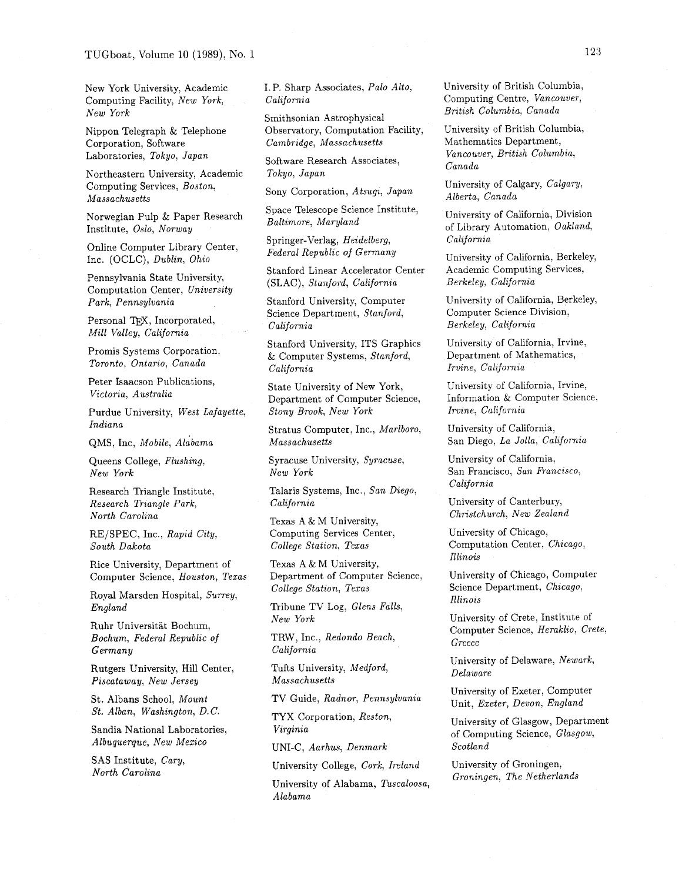New York University, Academic Computing Facility, New York, New York

Nippon Telegraph & Telephone Corporation, Software Laboratories, Tokyo, Japan

Northeastern University, Academic Computing Services, Boston, Massachusetts

Norwegian Pulp & Paper Research Institute, Oslo, Norway

Online Computer Library Center, Inc. (OCLC), Dublin, Ohio

Pennsylvania State University, Computation Center, University Park, Pennsylvania

Personal TFX, Incorporated, Mill Valley, California

Promis Systems Corporation, Toronto, Ontario, Canada

Peter Isaacson Publications, Victoria, Australia

Purdue University, West Lafayette, Indiana

QMS, Inc, Mobile, Alabama

Queens College, Flushing, New York

Research Triangle Institute, Research Triangle Park, North Carolina

REJSPEC, Inc., Rapid City, South Dakota

Rice University, Department of Computer Science, Houston, Texas

Royal Marsden Hospital, Surrey, England

Ruhr Universitat Bochum, Bochum, Federal Republic of Germany

Rutgers University, Hill Center, Piscataway, New Jersey

St. Albans School, Mount St. Alban, Washington, D. C.

Sandia National Laboratories, Albuquerque, New Mexico

SAS Institute, Cary, North Carolina

I. P. Sharp Associates, Palo Alto, California

Smithsonian Astrophysical Observatory, Computation Facility, Cambridge, Massachusetts

Software Research Associates, Tokyo, Japan

Sony Corporation, Atsugi, Japan

Space Telescope Science Institute, Baltimore, Maryland

Springer-Verlag, Heidelberg, Federal Republic of Germany

Stanford Linear Accelerator Center (SLAC), Stanford, California

Stanford University, Computer Science Department, Stanford, California

Stanford University, ITS Graphics & Computer Systems, Stanford, California

State University of New York, Department of Computer Science, Stony Brook, New York

Stratus Computer, Inc., Marlboro, Massachusetts

Syracuse University, Syracuse, New York

Talaris Systems, Inc., San Diego, California

Texas A & M University, Computing Services Center, College Station, Texas

Texas A & M University, Department of Computer Science, College Station, Texas

Tribune TV Log, Glens Falls, New York

TRW, Inc., Redondo Beach, California

Tufts University, Medford, Massachusetts

TV Guide, Radnor, Pennsylvania

TYX Corporation, Reston, Virginia

UNI-C, Aarhus, Denmark

University College, Cork, Ireland

University of Alabama, Tuscaloosa, Alabama

University of British Columbia, Computing Centre, Vancouver, British Columbia, Canada

University of British Columbia, Mathematics Department, Vancouver, British Columbia, Canada

University of Calgary, Calgary, Alberta, Canada

University of California, Division of Library Automation, Oakland, California

University of California, Berkeley, Academic Computing Services, Berkeley, California

University of California, Berkeley, Computer Science Division, Berkeley, California

University of California, Irvine, Department of Mathematics, Irvine, California

University of California, Irvine, Information & Computer Science) Irvine, California

University of California, San Diego, La Jolla, California

University of California, San Francisco, San Francisco, California

University of Canterbury, Christchurch, New Zealand

University of Chicago, Computation Center, Chicago, Illinois

University of Chicago, Computer Science Department, Chicago, Illinois

University of Crete, Institute of Computer Science, Heraklio, Crete, Greece

University of Delaware, Newark, Delaware

University of Exeter, Computer Unit, Exeter, Devon, England

University of Glasgow, Department of Computing Science, Glasgow, Scotland

University of Groningen, Groningen, The Netherlands